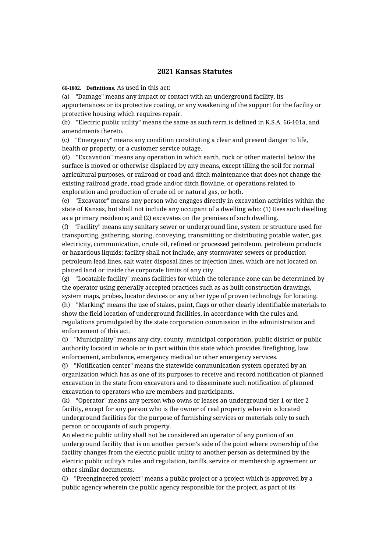## **2021 Kansas Statutes**

**66-1802. Definitions.** As used in this act:

(a) "Damage" means any impact or contact with an underground facility, its appurtenances or its protective coating, or any weakening of the support for the facility or protective housing which requires repair.

(b) "Electric public utility" means the same as such term is defined in K.S.A. 66-101a, and amendments thereto.

(c) "Emergency" means any condition constituting a clear and present danger to life, health or property, or a customer service outage.

(d) "Excavation" means any operation in which earth, rock or other material below the surface is moved or otherwise displaced by any means, except tilling the soil for normal agricultural purposes, or railroad or road and ditch maintenance that does not change the existing railroad grade, road grade and/or ditch flowline, or operations related to exploration and production of crude oil or natural gas, or both.

(e) "Excavator" means any person who engages directly in excavation activities within the state of Kansas, but shall not include any occupant of a dwelling who: (1) Uses such dwelling as a primary residence; and (2) excavates on the premises of such dwelling.

(f) "Facility" means any sanitary sewer or underground line, system or structure used for transporting, gathering, storing, conveying, transmitting or distributing potable water, gas, electricity, communication, crude oil, refined or processed petroleum, petroleum products or hazardous liquids; facility shall not include, any stormwater sewers or production petroleum lead lines, salt water disposal lines or injection lines, which are not located on platted land or inside the corporate limits of any city.

(g) "Locatable facility" means facilities for which the tolerance zone can be determined by the operator using generally accepted practices such as as-built construction drawings, system maps, probes, locator devices or any other type of proven technology for locating. (h) "Marking" means the use of stakes, paint, flags or other clearly identifiable materials to show the field location of underground facilities, in accordance with the rules and regulations promulgated by the state corporation commission in the administration and enforcement of this act.

(i) "Municipality" means any city, county, municipal corporation, public district or public authority located in whole or in part within this state which provides firefighting, law enforcement, ambulance, emergency medical or other emergency services.

(j) "Notification center" means the statewide communication system operated by an organization which has as one of its purposes to receive and record notification of planned excavation in the state from excavators and to disseminate such notification of planned excavation to operators who are members and participants.

(k) "Operator" means any person who owns or leases an underground tier 1 or tier 2 facility, except for any person who is the owner of real property wherein is located underground facilities for the purpose of furnishing services or materials only to such person or occupants of such property.

An electric public utility shall not be considered an operator of any portion of an underground facility that is on another person's side of the point where ownership of the facility changes from the electric public utility to another person as determined by the electric public utility's rules and regulation, tariffs, service or membership agreement or other similar documents.

(l) "Preengineered project" means a public project or a project which is approved by a public agency wherein the public agency responsible for the project, as part of its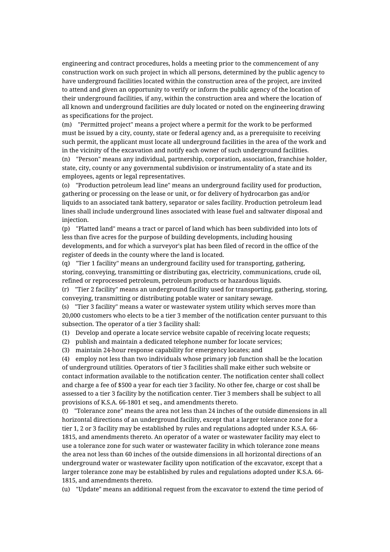engineering and contract procedures, holds a meeting prior to the commencement of any construction work on such project in which all persons, determined by the public agency to have underground facilities located within the construction area of the project, are invited to attend and given an opportunity to verify or inform the public agency of the location of their underground facilities, if any, within the construction area and where the location of all known and underground facilities are duly located or noted on the engineering drawing as specifications for the project.

(m) "Permitted project" means a project where a permit for the work to be performed must be issued by a city, county, state or federal agency and, as a prerequisite to receiving such permit, the applicant must locate all underground facilities in the area of the work and in the vicinity of the excavation and notify each owner of such underground facilities. (n) "Person" means any individual, partnership, corporation, association, franchise holder, state, city, county or any governmental subdivision or instrumentality of a state and its employees, agents or legal representatives.

(o) "Production petroleum lead line" means an underground facility used for production, gathering or processing on the lease or unit, or for delivery of hydrocarbon gas and/or liquids to an associated tank battery, separator or sales facility. Production petroleum lead lines shall include underground lines associated with lease fuel and saltwater disposal and injection.

(p) "Platted land" means a tract or parcel of land which has been subdivided into lots of less than five acres for the purpose of building developments, including housing developments, and for which a surveyor's plat has been filed of record in the office of the register of deeds in the county where the land is located.

(q) "Tier 1 facility" means an underground facility used for transporting, gathering, storing, conveying, transmitting or distributing gas, electricity, communications, crude oil, refined or reprocessed petroleum, petroleum products or hazardous liquids.

(r) "Tier 2 facility" means an underground facility used for transporting, gathering, storing, conveying, transmitting or distributing potable water or sanitary sewage.

(s) "Tier 3 facility" means a water or wastewater system utility which serves more than 20,000 customers who elects to be a tier 3 member of the notification center pursuant to this subsection. The operator of a tier 3 facility shall:

(1) Develop and operate a locate service website capable of receiving locate requests;

(2) publish and maintain a dedicated telephone number for locate services;

(3) maintain 24-hour response capability for emergency locates; and

(4) employ not less than two individuals whose primary job function shall be the location of underground utilities. Operators of tier 3 facilities shall make either such website or contact information available to the notification center. The notification center shall collect and charge a fee of \$500 a year for each tier 3 facility. No other fee, charge or cost shall be assessed to a tier 3 facility by the notification center. Tier 3 members shall be subject to all provisions of K.S.A. 66-1801 et seq., and amendments thereto.

(t) "Tolerance zone" means the area not less than 24 inches of the outside dimensions in all horizontal directions of an underground facility, except that a larger tolerance zone for a tier 1, 2 or 3 facility may be established by rules and regulations adopted under K.S.A. 66- 1815, and amendments thereto. An operator of a water or wastewater facility may elect to use a tolerance zone for such water or wastewater facility in which tolerance zone means the area not less than 60 inches of the outside dimensions in all horizontal directions of an underground water or wastewater facility upon notification of the excavator, except that a larger tolerance zone may be established by rules and regulations adopted under K.S.A. 66- 1815, and amendments thereto.

(u) "Update" means an additional request from the excavator to extend the time period of